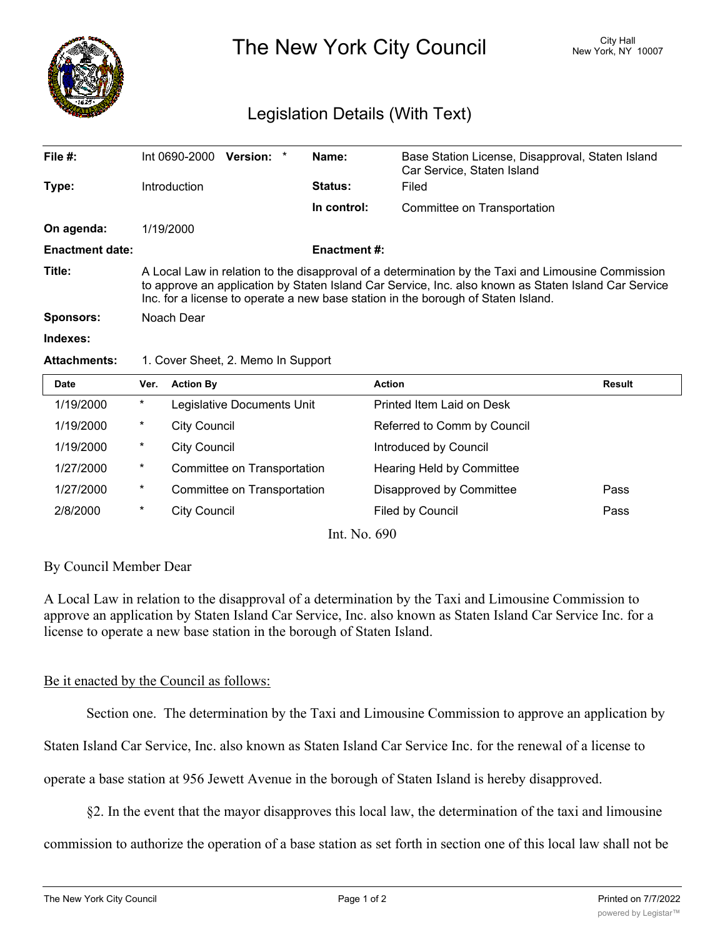

The New York City Council New York, NY 10007

# Legislation Details (With Text)

| File $#$ :             | Int 0690-2000                                                                                                                                                                                                                                                                                   | Version: * |  | Name:               | Base Station License, Disapproval, Staten Island<br>Car Service, Staten Island |  |
|------------------------|-------------------------------------------------------------------------------------------------------------------------------------------------------------------------------------------------------------------------------------------------------------------------------------------------|------------|--|---------------------|--------------------------------------------------------------------------------|--|
| Type:                  | Introduction                                                                                                                                                                                                                                                                                    |            |  | <b>Status:</b>      | Filed                                                                          |  |
|                        |                                                                                                                                                                                                                                                                                                 |            |  | In control:         | Committee on Transportation                                                    |  |
| On agenda:             | 1/19/2000                                                                                                                                                                                                                                                                                       |            |  |                     |                                                                                |  |
| <b>Enactment date:</b> |                                                                                                                                                                                                                                                                                                 |            |  | <b>Enactment #:</b> |                                                                                |  |
| Title:                 | A Local Law in relation to the disapproval of a determination by the Taxi and Limousine Commission<br>to approve an application by Staten Island Car Service, Inc. also known as Staten Island Car Service<br>Inc. for a license to operate a new base station in the borough of Staten Island. |            |  |                     |                                                                                |  |
| <b>Sponsors:</b>       | Noach Dear                                                                                                                                                                                                                                                                                      |            |  |                     |                                                                                |  |
| Indexes:               |                                                                                                                                                                                                                                                                                                 |            |  |                     |                                                                                |  |

#### **Attachments:** 1. Cover Sheet, 2. Memo In Support

| <b>Date</b> | Ver.   | <b>Action By</b>            | <b>Action</b>               | <b>Result</b> |
|-------------|--------|-----------------------------|-----------------------------|---------------|
| 1/19/2000   | $\ast$ | Legislative Documents Unit  | Printed Item Laid on Desk   |               |
| 1/19/2000   | $\ast$ | <b>City Council</b>         | Referred to Comm by Council |               |
| 1/19/2000   | $\ast$ | <b>City Council</b>         | Introduced by Council       |               |
| 1/27/2000   | $\ast$ | Committee on Transportation | Hearing Held by Committee   |               |
| 1/27/2000   | $\ast$ | Committee on Transportation | Disapproved by Committee    | Pass          |
| 2/8/2000    | $\ast$ | <b>City Council</b>         | Filed by Council            | Pass          |
|             |        | T. XT                       | $\sim$ $\sim$               |               |

Int. No. 690

## By Council Member Dear

A Local Law in relation to the disapproval of a determination by the Taxi and Limousine Commission to approve an application by Staten Island Car Service, Inc. also known as Staten Island Car Service Inc. for a license to operate a new base station in the borough of Staten Island.

## Be it enacted by the Council as follows:

Section one. The determination by the Taxi and Limousine Commission to approve an application by

Staten Island Car Service, Inc. also known as Staten Island Car Service Inc. for the renewal of a license to

operate a base station at 956 Jewett Avenue in the borough of Staten Island is hereby disapproved.

§2. In the event that the mayor disapproves this local law, the determination of the taxi and limousine

commission to authorize the operation of a base station as set forth in section one of this local law shall not be